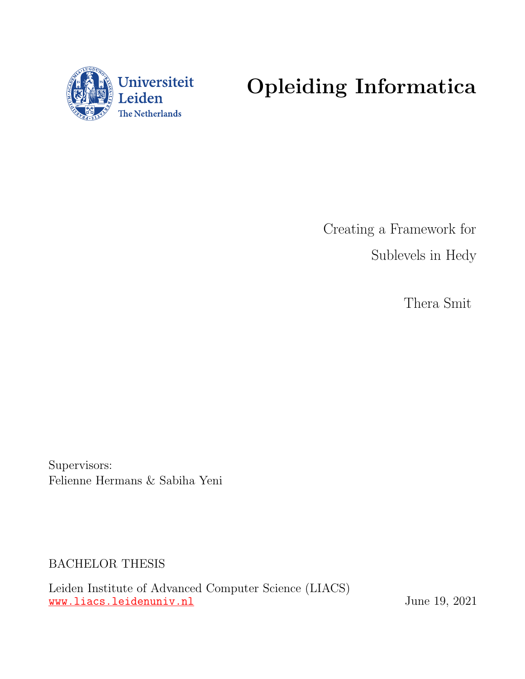

# Opleiding Informatica

Creating a Framework for Sublevels in Hedy

Thera Smit

Supervisors: Felienne Hermans & Sabiha Yeni

BACHELOR THESIS

Leiden Institute of Advanced Computer Science (LIACS) www.liacs.leidenuniv.nl  $\frac{1}{2}$  June 19, 2021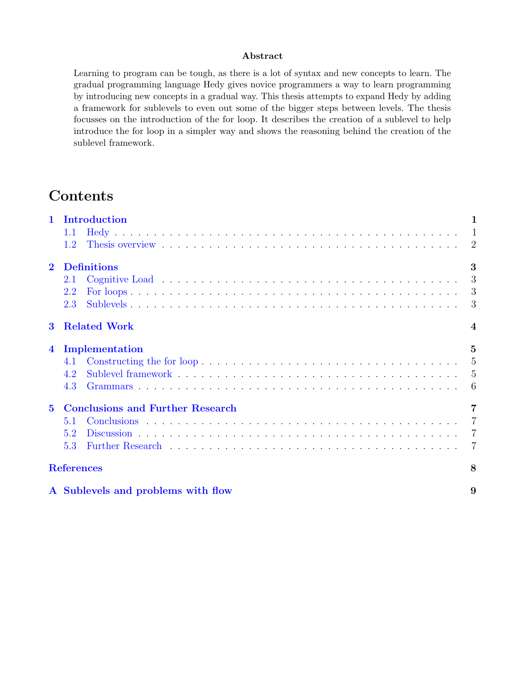#### Abstract

Learning to program can be tough, as there is a lot of syntax and new concepts to learn. The gradual programming language Hedy gives novice programmers a way to learn programming by introducing new concepts in a gradual way. This thesis attempts to expand Hedy by adding a framework for sublevels to even out some of the bigger steps between levels. The thesis focusses on the introduction of the for loop. It describes the creation of a sublevel to help introduce the for loop in a simpler way and shows the reasoning behind the creation of the sublevel framework.

# **Contents**

| $\mathbf{1}$   | Introduction<br>1                       |                         |  |  |  |  |  |  |  |
|----------------|-----------------------------------------|-------------------------|--|--|--|--|--|--|--|
|                | 1.1                                     |                         |  |  |  |  |  |  |  |
|                | 1.2                                     |                         |  |  |  |  |  |  |  |
| $\mathbf{2}$   | <b>Definitions</b>                      | 3                       |  |  |  |  |  |  |  |
|                | 2.1                                     |                         |  |  |  |  |  |  |  |
|                | 2.2                                     |                         |  |  |  |  |  |  |  |
|                | 2.3                                     |                         |  |  |  |  |  |  |  |
| $\bf{3}$       | <b>Related Work</b>                     | $\overline{\mathbf{4}}$ |  |  |  |  |  |  |  |
| $\overline{4}$ | Implementation                          | $\overline{5}$          |  |  |  |  |  |  |  |
|                | 4.1                                     |                         |  |  |  |  |  |  |  |
|                | 4.2                                     |                         |  |  |  |  |  |  |  |
|                | 4.3                                     |                         |  |  |  |  |  |  |  |
| $\overline{5}$ | <b>Conclusions and Further Research</b> |                         |  |  |  |  |  |  |  |
|                | 5.1                                     |                         |  |  |  |  |  |  |  |
|                | 5.2                                     |                         |  |  |  |  |  |  |  |
|                | 5.3                                     | $\overline{7}$          |  |  |  |  |  |  |  |
|                | <b>References</b>                       | 8                       |  |  |  |  |  |  |  |
|                | A Sublevels and problems with flow      | 9                       |  |  |  |  |  |  |  |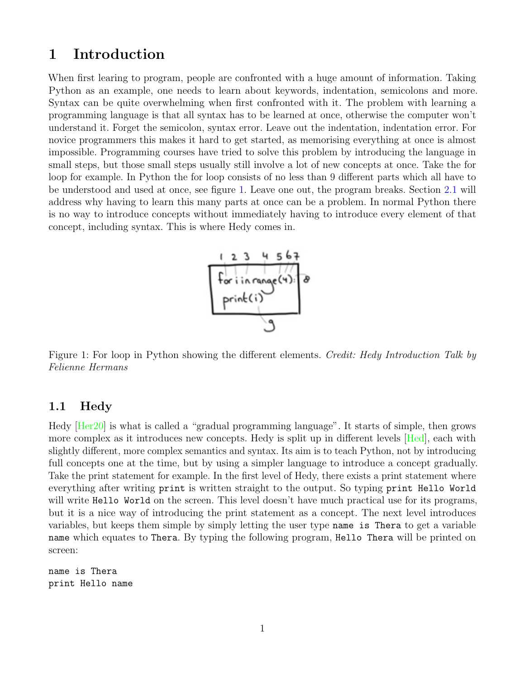## <span id="page-2-0"></span>1 Introduction

When first learing to program, people are confronted with a huge amount of information. Taking Python as an example, one needs to learn about keywords, indentation, semicolons and more. Syntax can be quite overwhelming when first confronted with it. The problem with learning a programming language is that all syntax has to be learned at once, otherwise the computer won't understand it. Forget the semicolon, syntax error. Leave out the indentation, indentation error. For novice programmers this makes it hard to get started, as memorising everything at once is almost impossible. Programming courses have tried to solve this problem by introducing the language in small steps, but those small steps usually still involve a lot of new concepts at once. Take the for loop for example. In Python the for loop consists of no less than 9 different parts which all have to be understood and used at once, see figure [1.](#page-2-2) Leave one out, the program breaks. Section [2.1](#page-4-1) will address why having to learn this many parts at once can be a problem. In normal Python there is no way to introduce concepts without immediately having to introduce every element of that concept, including syntax. This is where Hedy comes in.



<span id="page-2-2"></span>Figure 1: For loop in Python showing the different elements. Credit: Hedy Introduction Talk by Felienne Hermans

#### <span id="page-2-1"></span>1.1 Hedy

Hedy [\[Her20\]](#page-9-1) is what is called a "gradual programming language". It starts of simple, then grows more complex as it introduces new concepts. Hedy is split up in different levels [\[Hed\]](#page-9-2), each with slightly different, more complex semantics and syntax. Its aim is to teach Python, not by introducing full concepts one at the time, but by using a simpler language to introduce a concept gradually. Take the print statement for example. In the first level of Hedy, there exists a print statement where everything after writing print is written straight to the output. So typing print Hello World will write Hello World on the screen. This level doesn't have much practical use for its programs, but it is a nice way of introducing the print statement as a concept. The next level introduces variables, but keeps them simple by simply letting the user type name is Thera to get a variable name which equates to Thera. By typing the following program, Hello Thera will be printed on screen:

name is Thera print Hello name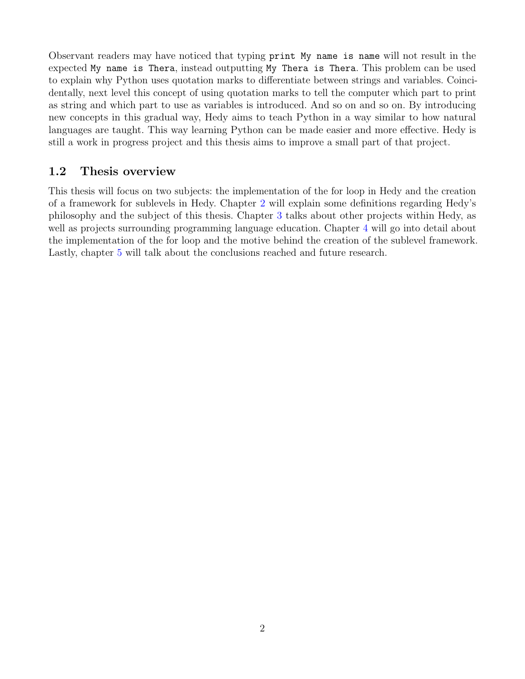Observant readers may have noticed that typing print My name is name will not result in the expected My name is Thera, instead outputting My Thera is Thera. This problem can be used to explain why Python uses quotation marks to differentiate between strings and variables. Coincidentally, next level this concept of using quotation marks to tell the computer which part to print as string and which part to use as variables is introduced. And so on and so on. By introducing new concepts in this gradual way, Hedy aims to teach Python in a way similar to how natural languages are taught. This way learning Python can be made easier and more effective. Hedy is still a work in progress project and this thesis aims to improve a small part of that project.

## <span id="page-3-0"></span>1.2 Thesis overview

This thesis will focus on two subjects: the implementation of the for loop in Hedy and the creation of a framework for sublevels in Hedy. Chapter [2](#page-4-0) will explain some definitions regarding Hedy's philosophy and the subject of this thesis. Chapter [3](#page-5-0) talks about other projects within Hedy, as well as projects surrounding programming language education. Chapter [4](#page-6-0) will go into detail about the implementation of the for loop and the motive behind the creation of the sublevel framework. Lastly, chapter [5](#page-8-0) will talk about the conclusions reached and future research.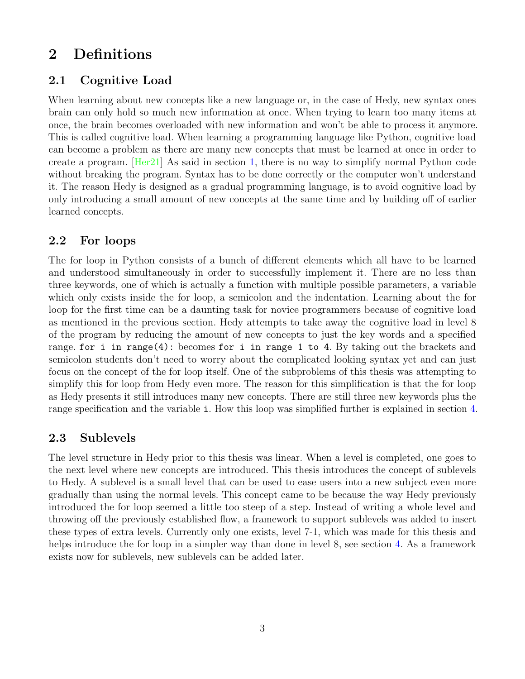## <span id="page-4-0"></span>2 Definitions

#### <span id="page-4-1"></span>2.1 Cognitive Load

When learning about new concepts like a new language or, in the case of Hedy, new syntax ones brain can only hold so much new information at once. When trying to learn too many items at once, the brain becomes overloaded with new information and won't be able to process it anymore. This is called cognitive load. When learning a programming language like Python, cognitive load can become a problem as there are many new concepts that must be learned at once in order to create a program.  $[Her21]$  As said in section [1,](#page-2-0) there is no way to simplify normal Python code without breaking the program. Syntax has to be done correctly or the computer won't understand it. The reason Hedy is designed as a gradual programming language, is to avoid cognitive load by only introducing a small amount of new concepts at the same time and by building off of earlier learned concepts.

#### <span id="page-4-2"></span>2.2 For loops

The for loop in Python consists of a bunch of different elements which all have to be learned and understood simultaneously in order to successfully implement it. There are no less than three keywords, one of which is actually a function with multiple possible parameters, a variable which only exists inside the for loop, a semicolon and the indentation. Learning about the for loop for the first time can be a daunting task for novice programmers because of cognitive load as mentioned in the previous section. Hedy attempts to take away the cognitive load in level 8 of the program by reducing the amount of new concepts to just the key words and a specified range. for i in range(4): becomes for i in range 1 to 4. By taking out the brackets and semicolon students don't need to worry about the complicated looking syntax yet and can just focus on the concept of the for loop itself. One of the subproblems of this thesis was attempting to simplify this for loop from Hedy even more. The reason for this simplification is that the for loop as Hedy presents it still introduces many new concepts. There are still three new keywords plus the range specification and the variable i. How this loop was simplified further is explained in section [4.](#page-6-0)

## <span id="page-4-3"></span>2.3 Sublevels

The level structure in Hedy prior to this thesis was linear. When a level is completed, one goes to the next level where new concepts are introduced. This thesis introduces the concept of sublevels to Hedy. A sublevel is a small level that can be used to ease users into a new subject even more gradually than using the normal levels. This concept came to be because the way Hedy previously introduced the for loop seemed a little too steep of a step. Instead of writing a whole level and throwing off the previously established flow, a framework to support sublevels was added to insert these types of extra levels. Currently only one exists, level 7-1, which was made for this thesis and helps introduce the for loop in a simpler way than done in level 8, see section [4.](#page-6-0) As a framework exists now for sublevels, new sublevels can be added later.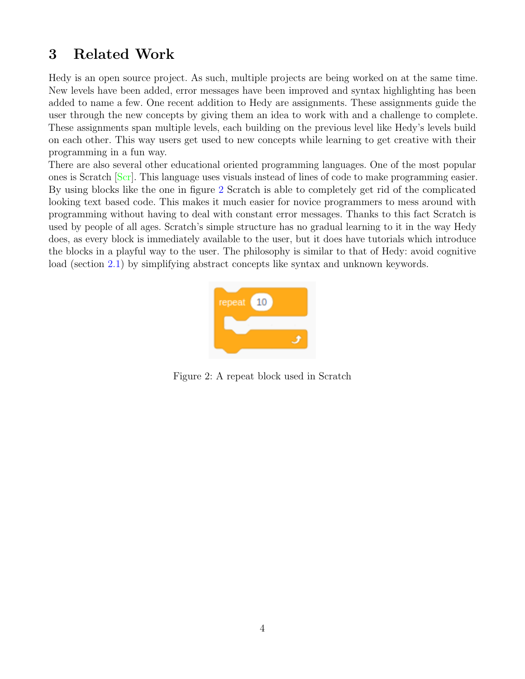## <span id="page-5-0"></span>3 Related Work

Hedy is an open source project. As such, multiple projects are being worked on at the same time. New levels have been added, error messages have been improved and syntax highlighting has been added to name a few. One recent addition to Hedy are assignments. These assignments guide the user through the new concepts by giving them an idea to work with and a challenge to complete. These assignments span multiple levels, each building on the previous level like Hedy's levels build on each other. This way users get used to new concepts while learning to get creative with their programming in a fun way.

There are also several other educational oriented programming languages. One of the most popular ones is Scratch [\[Scr\]](#page-9-4). This language uses visuals instead of lines of code to make programming easier. By using blocks like the one in figure [2](#page-5-1) Scratch is able to completely get rid of the complicated looking text based code. This makes it much easier for novice programmers to mess around with programming without having to deal with constant error messages. Thanks to this fact Scratch is used by people of all ages. Scratch's simple structure has no gradual learning to it in the way Hedy does, as every block is immediately available to the user, but it does have tutorials which introduce the blocks in a playful way to the user. The philosophy is similar to that of Hedy: avoid cognitive load (section [2.1\)](#page-4-1) by simplifying abstract concepts like syntax and unknown keywords.

<span id="page-5-1"></span>

Figure 2: A repeat block used in Scratch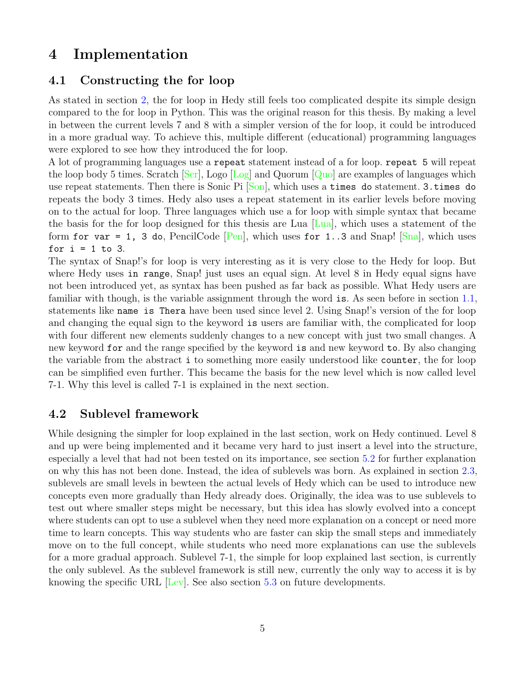## <span id="page-6-0"></span>4 Implementation

#### <span id="page-6-1"></span>4.1 Constructing the for loop

As stated in section [2,](#page-4-0) the for loop in Hedy still feels too complicated despite its simple design compared to the for loop in Python. This was the original reason for this thesis. By making a level in between the current levels 7 and 8 with a simpler version of the for loop, it could be introduced in a more gradual way. To achieve this, multiple different (educational) programming languages were explored to see how they introduced the for loop.

A lot of programming languages use a repeat statement instead of a for loop. repeat 5 will repeat the loop body 5 times. Scratch  $\lceil \text{Scr} \rceil$ , Logo  $\lceil \text{Log} \rceil$  and Quorum  $\lceil \text{Quol} \rceil$  are examples of languages which use repeat statements. Then there is Sonic Pi  $\lceil \text{Son} \rceil$ , which uses a times do statement. 3.times do repeats the body 3 times. Hedy also uses a repeat statement in its earlier levels before moving on to the actual for loop. Three languages which use a for loop with simple syntax that became the basis for the for loop designed for this thesis are Lua [\[Lua\]](#page-9-8), which uses a statement of the form for var = 1, 3 do, PencilCode [\[Pen\]](#page-9-9), which uses for 1..3 and Snap!  $\lceil \text{Sna} \rceil$ , which uses for  $i = 1$  to 3.

The syntax of Snap!'s for loop is very interesting as it is very close to the Hedy for loop. But where Hedy uses in range, Snap! just uses an equal sign. At level 8 in Hedy equal signs have not been introduced yet, as syntax has been pushed as far back as possible. What Hedy users are familiar with though, is the variable assignment through the word is. As seen before in section [1.1,](#page-2-1) statements like name is Thera have been used since level 2. Using Snap!'s version of the for loop and changing the equal sign to the keyword is users are familiar with, the complicated for loop with four different new elements suddenly changes to a new concept with just two small changes. A new keyword for and the range specified by the keyword is and new keyword to. By also changing the variable from the abstract i to something more easily understood like counter, the for loop can be simplified even further. This became the basis for the new level which is now called level 7-1. Why this level is called 7-1 is explained in the next section.

## <span id="page-6-2"></span>4.2 Sublevel framework

While designing the simpler for loop explained in the last section, work on Hedy continued. Level 8 and up were being implemented and it became very hard to just insert a level into the structure, especially a level that had not been tested on its importance, see section [5.2](#page-8-2) for further explanation on why this has not been done. Instead, the idea of sublevels was born. As explained in section [2.3,](#page-4-3) sublevels are small levels in bewteen the actual levels of Hedy which can be used to introduce new concepts even more gradually than Hedy already does. Originally, the idea was to use sublevels to test out where smaller steps might be necessary, but this idea has slowly evolved into a concept where students can opt to use a sublevel when they need more explanation on a concept or need more time to learn concepts. This way students who are faster can skip the small steps and immediately move on to the full concept, while students who need more explanations can use the sublevels for a more gradual approach. Sublevel 7-1, the simple for loop explained last section, is currently the only sublevel. As the sublevel framework is still new, currently the only way to access it is by knowing the specific URL [\[Lev\]](#page-9-11). See also section [5.3](#page-8-3) on future developments.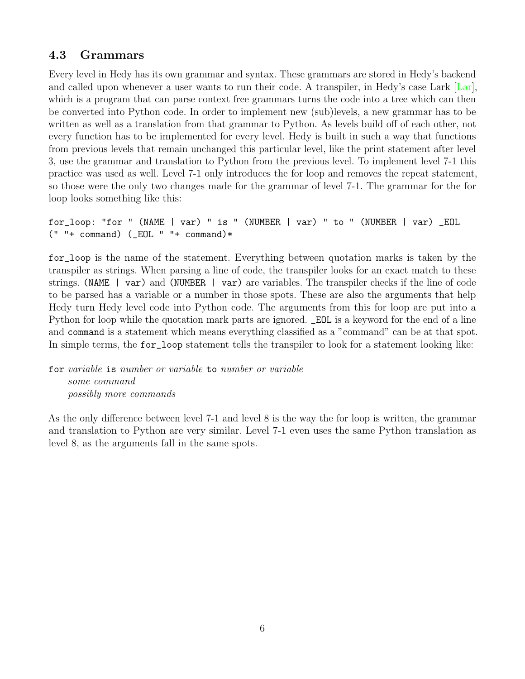## <span id="page-7-0"></span>4.3 Grammars

Every level in Hedy has its own grammar and syntax. These grammars are stored in Hedy's backend and called upon whenever a user wants to run their code. A transpiler, in Hedy's case Lark [\[Lar\]](#page-9-12), which is a program that can parse context free grammars turns the code into a tree which can then be converted into Python code. In order to implement new (sub)levels, a new grammar has to be written as well as a translation from that grammar to Python. As levels build off of each other, not every function has to be implemented for every level. Hedy is built in such a way that functions from previous levels that remain unchanged this particular level, like the print statement after level 3, use the grammar and translation to Python from the previous level. To implement level 7-1 this practice was used as well. Level 7-1 only introduces the for loop and removes the repeat statement, so those were the only two changes made for the grammar of level 7-1. The grammar for the for loop looks something like this:

for\_loop: "for " (NAME | var) " is " (NUMBER | var) " to " (NUMBER | var) \_EOL  $(" " + command) (EOL " " + command)*$ 

for\_loop is the name of the statement. Everything between quotation marks is taken by the transpiler as strings. When parsing a line of code, the transpiler looks for an exact match to these strings. (NAME | var) and (NUMBER | var) are variables. The transpiler checks if the line of code to be parsed has a variable or a number in those spots. These are also the arguments that help Hedy turn Hedy level code into Python code. The arguments from this for loop are put into a Python for loop while the quotation mark parts are ignored. \_EOL is a keyword for the end of a line and command is a statement which means everything classified as a "command" can be at that spot. In simple terms, the for\_loop statement tells the transpiler to look for a statement looking like:

for variable is number or variable to number or variable some command possibly more commands

As the only difference between level 7-1 and level 8 is the way the for loop is written, the grammar and translation to Python are very similar. Level 7-1 even uses the same Python translation as level 8, as the arguments fall in the same spots.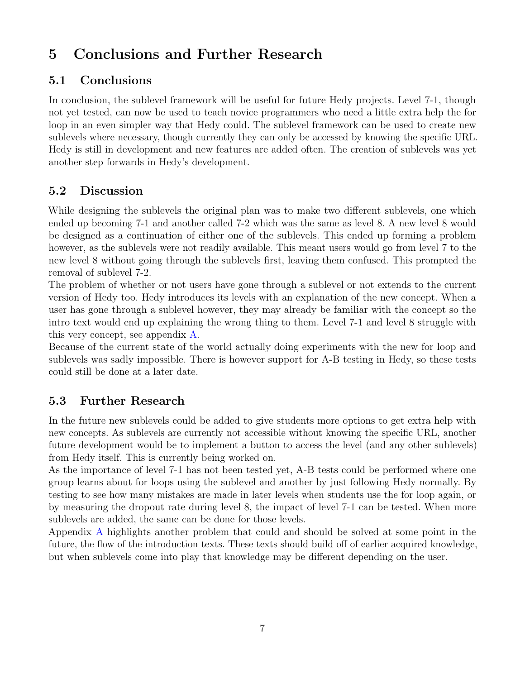# <span id="page-8-0"></span>5 Conclusions and Further Research

## <span id="page-8-1"></span>5.1 Conclusions

In conclusion, the sublevel framework will be useful for future Hedy projects. Level 7-1, though not yet tested, can now be used to teach novice programmers who need a little extra help the for loop in an even simpler way that Hedy could. The sublevel framework can be used to create new sublevels where necessary, though currently they can only be accessed by knowing the specific URL. Hedy is still in development and new features are added often. The creation of sublevels was yet another step forwards in Hedy's development.

## <span id="page-8-2"></span>5.2 Discussion

While designing the sublevels the original plan was to make two different sublevels, one which ended up becoming 7-1 and another called 7-2 which was the same as level 8. A new level 8 would be designed as a continuation of either one of the sublevels. This ended up forming a problem however, as the sublevels were not readily available. This meant users would go from level 7 to the new level 8 without going through the sublevels first, leaving them confused. This prompted the removal of sublevel 7-2.

The problem of whether or not users have gone through a sublevel or not extends to the current version of Hedy too. Hedy introduces its levels with an explanation of the new concept. When a user has gone through a sublevel however, they may already be familiar with the concept so the intro text would end up explaining the wrong thing to them. Level 7-1 and level 8 struggle with this very concept, see appendix [A.](#page-10-0)

Because of the current state of the world actually doing experiments with the new for loop and sublevels was sadly impossible. There is however support for A-B testing in Hedy, so these tests could still be done at a later date.

## <span id="page-8-3"></span>5.3 Further Research

In the future new sublevels could be added to give students more options to get extra help with new concepts. As sublevels are currently not accessible without knowing the specific URL, another future development would be to implement a button to access the level (and any other sublevels) from Hedy itself. This is currently being worked on.

As the importance of level 7-1 has not been tested yet, A-B tests could be performed where one group learns about for loops using the sublevel and another by just following Hedy normally. By testing to see how many mistakes are made in later levels when students use the for loop again, or by measuring the dropout rate during level 8, the impact of level 7-1 can be tested. When more sublevels are added, the same can be done for those levels.

Appendix [A](#page-10-0) highlights another problem that could and should be solved at some point in the future, the flow of the introduction texts. These texts should build off of earlier acquired knowledge, but when sublevels come into play that knowledge may be different depending on the user.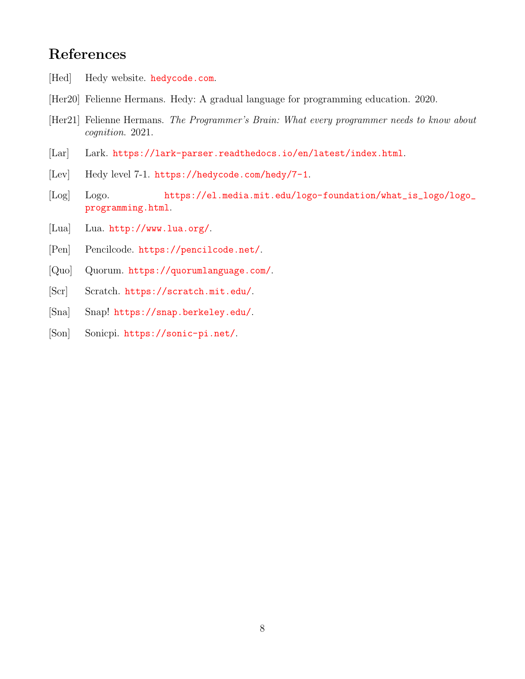## <span id="page-9-0"></span>References

- <span id="page-9-2"></span>[Hed] Hedy website. hedycode.com.
- <span id="page-9-1"></span>[Her20] Felienne Hermans. Hedy: A gradual language for programming education. 2020.
- <span id="page-9-3"></span>[Her21] Felienne Hermans. The Programmer's Brain: What every programmer needs to know about cognition. 2021.
- <span id="page-9-12"></span>[Lar] Lark. https://lark-parser.readthedocs.io/en/latest/index.html.
- <span id="page-9-11"></span>[Lev] Hedy level 7-1. https://hedycode.com/hedy/7-1.
- <span id="page-9-5"></span>[Log] Logo. https://el.media.mit.edu/logo-foundation/what\_is\_logo/logo\_ programming.html.
- <span id="page-9-8"></span>[Lua] Lua. http://www.lua.org/.
- <span id="page-9-9"></span>[Pen] Pencilcode. https://pencilcode.net/.
- <span id="page-9-6"></span>[Quo] Quorum. https://quorumlanguage.com/.
- <span id="page-9-4"></span>[Scr] Scratch. https://scratch.mit.edu/.
- <span id="page-9-10"></span>[Sna] Snap! https://snap.berkeley.edu/.
- <span id="page-9-7"></span>[Son] Sonicpi. https://sonic-pi.net/.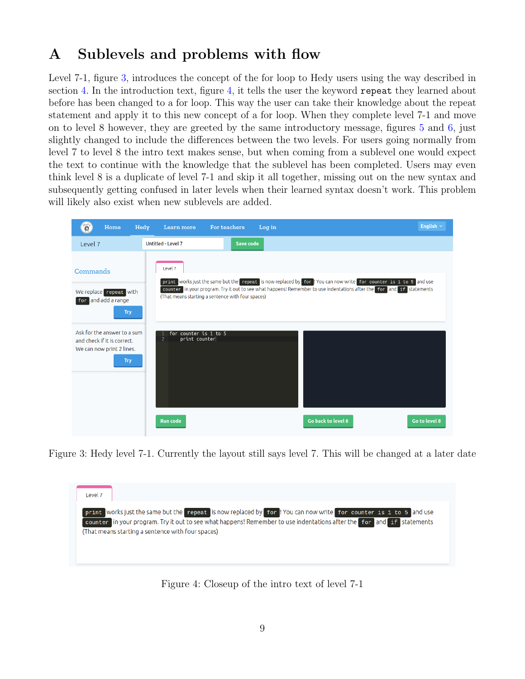# <span id="page-10-0"></span>A Sublevels and problems with flow

Level 7-1, figure [3,](#page-10-1) introduces the concept of the for loop to Hedy users using the way described in section [4.](#page-6-0) In the introduction text, figure [4,](#page-10-2) it tells the user the keyword repeat they learned about before has been changed to a for loop. This way the user can take their knowledge about the repeat statement and apply it to this new concept of a for loop. When they complete level 7-1 and move on to level 8 however, they are greeted by the same introductory message, figures [5](#page-11-0) and [6,](#page-11-1) just slightly changed to include the differences between the two levels. For users going normally from level 7 to level 8 the intro text makes sense, but when coming from a sublevel one would expect the text to continue with the knowledge that the sublevel has been completed. Users may even think level 8 is a duplicate of level 7-1 and skip it all together, missing out on the new syntax and subsequently getting confused in later levels when their learned syntax doesn't work. This problem will likely also exist when new sublevels are added.

| Hedy                                                                                    | Home       | Hedy<br><b>Learn more</b>                                | <b>For teachers</b>                               | Log in |                                                                                                                                                                                                                                           | English $\sim$ |
|-----------------------------------------------------------------------------------------|------------|----------------------------------------------------------|---------------------------------------------------|--------|-------------------------------------------------------------------------------------------------------------------------------------------------------------------------------------------------------------------------------------------|----------------|
| Level 7                                                                                 |            | Untitled - Level 7                                       | Save code                                         |        |                                                                                                                                                                                                                                           |                |
| Commands<br>We replace repeat with<br>for and add a range                               | <b>Try</b> | Level 7                                                  | (That means starting a sentence with four spaces) |        | print works just the same but the repeat is now replaced by for 'You can now write for counter is 1 to 5 and use<br>counter in your program. Try it out to see what happens! Remember to use indentations after the for and if statements |                |
| Ask for the answer to a sum<br>and check if it is correct.<br>We can now print 2 lines. | <b>Try</b> | for counter is 1 to 5<br>$\overline{2}$<br>print counter |                                                   |        |                                                                                                                                                                                                                                           |                |
|                                                                                         |            | <b>Run code</b>                                          |                                                   |        | Go back to level 6                                                                                                                                                                                                                        | Go to level 8  |

Figure 3: Hedy level 7-1. Currently the layout still says level 7. This will be changed at a later date

<span id="page-10-2"></span><span id="page-10-1"></span>

Figure 4: Closeup of the intro text of level 7-1